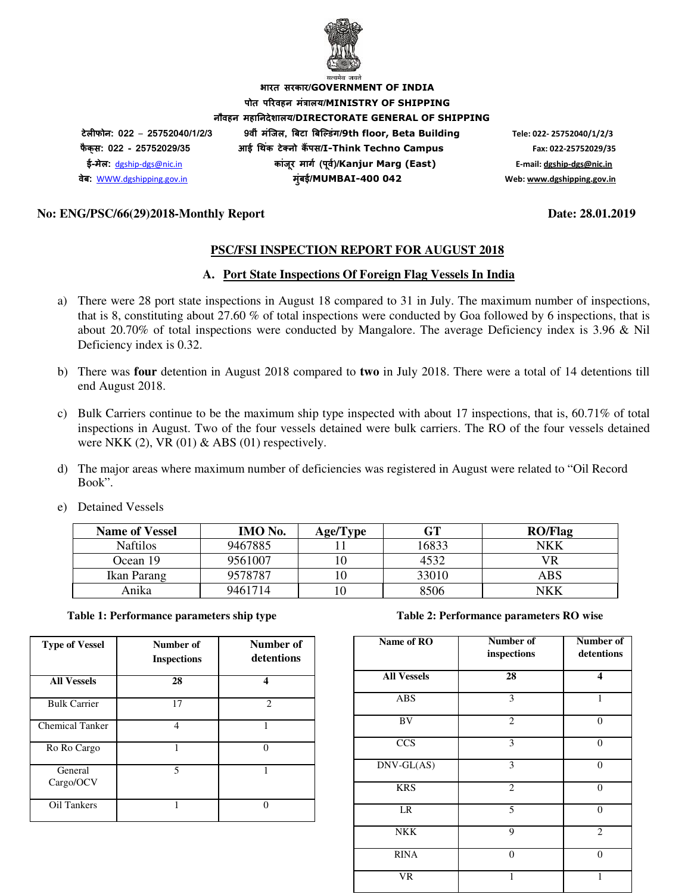

**भारत सरकार/GOVERNMENT OF INDIA पोत परवहन मंालय/MINISTRY OF SHIPPING नौवहन महानदेशालय/DIRECTORATE GENERAL OF SHIPPING टेलफोन: 022** – **25752040/1/2/3 9वीं मंिजल, )बटा )बि+डंग/9th floor, Beta Building Tele: 022- 25752040/1/2/3 फै क् स: 022 - 25752029/35 आई 3थक टे5 नो क ं 6पस/I-Think Techno Campus Fax: 022-25752029/35 ई-मेल:** dgship-dgs@nic.in **कांजर माग8 (प ू व8)/ ू Kanjur Marg (East) E-mail: dgship-dgs@nic.in वेब:** WWW.dgshipping.gov.in **मुंबई/MUMBAI-400 042 Web: www.dgshipping.gov.in**

#### **No: ENG/PSC/66(29)2018-Monthly Report Date: 28.01.2019**

#### **PSC/FSI INSPECTION REPORT FOR AUGUST 2018**

#### **A. Port State Inspections Of Foreign Flag Vessels In India**

- a) There were 28 port state inspections in August 18 compared to 31 in July. The maximum number of inspections, that is 8, constituting about 27.60 % of total inspections were conducted by Goa followed by 6 inspections, that is about 20.70% of total inspections were conducted by Mangalore. The average Deficiency index is 3.96 & Nil Deficiency index is 0.32.
- b) There was **four** detention in August 2018 compared to **two** in July 2018. There were a total of 14 detentions till end August 2018.
- c) Bulk Carriers continue to be the maximum ship type inspected with about 17 inspections, that is, 60.71% of total inspections in August. Two of the four vessels detained were bulk carriers. The RO of the four vessels detained were NKK  $(2)$ , VR  $(01)$  & ABS  $(01)$  respectively.
- d) The major areas where maximum number of deficiencies was registered in August were related to "Oil Record Book".

| e) Detained Vessels |  |
|---------------------|--|
|---------------------|--|

| <b>Name of Vessel</b> | IMO No. | Age/Type | GT    | <b>RO/Flag</b> |
|-----------------------|---------|----------|-------|----------------|
| <b>Naftilos</b>       | 9467885 |          | 16833 | <b>NKK</b>     |
| Ocean 19              | 9561007 |          | 4532  | VR             |
| Ikan Parang           | 9578787 |          | 33010 | ABS            |
| Anika                 | 9461714 |          | 8506  | NKK            |

#### **Table 1: Performance parameters ship type Table 2: Performance parameters RO wise**

| <b>Type of Vessel</b> | Number of<br><b>Inspections</b> | Number of<br>detentions |
|-----------------------|---------------------------------|-------------------------|
| <b>All Vessels</b>    | 28                              | 4                       |
| <b>Bulk Carrier</b>   | 17                              | $\mathfrak{D}$          |
| Chemical Tanker       | $\overline{\mathcal{A}}$        |                         |
| Ro Ro Cargo           | 1                               | ∩                       |
| General<br>Cargo/OCV  | 5                               |                         |
| Oil Tankers           |                                 |                         |

| Name of RO          | Number of<br>inspections | Number of<br>detentions |
|---------------------|--------------------------|-------------------------|
| <b>All Vessels</b>  | 28                       | $\overline{\mathbf{4}}$ |
| <b>ABS</b>          | 3                        | 1                       |
| BV                  | $\overline{2}$           | $\theta$                |
| $\overline{CCS}$    | 3                        | $\overline{0}$          |
| $DNV\text{-}GL(AS)$ | 3                        | $\overline{0}$          |
| <b>KRS</b>          | $\overline{2}$           | $\overline{0}$          |
| LR                  | 5                        | $\theta$                |
| <b>NKK</b>          | 9                        | $\overline{2}$          |
| <b>RINA</b>         | $\Omega$                 | $\theta$                |
| VR                  |                          |                         |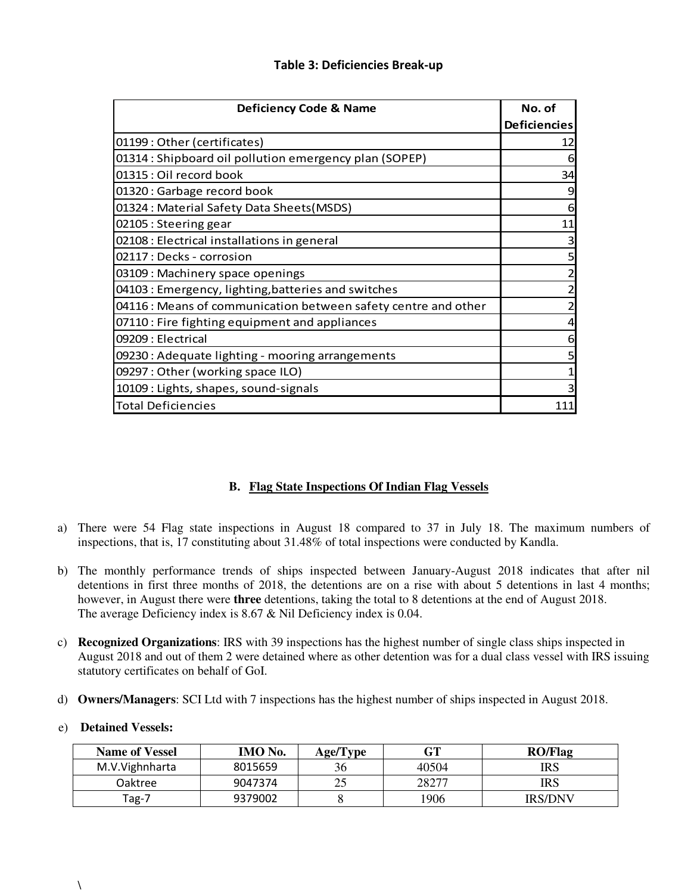### **Table 3: Deficiencies Break-up**

| <b>Deficiency Code &amp; Name</b>                              | No. of                  |
|----------------------------------------------------------------|-------------------------|
|                                                                | <b>Deficiencies</b>     |
| 01199: Other (certificates)                                    | 12                      |
| 01314 : Shipboard oil pollution emergency plan (SOPEP)         | 6                       |
| 01315 : Oil record book                                        | 34                      |
| 01320: Garbage record book                                     | 9                       |
| 01324: Material Safety Data Sheets (MSDS)                      | 6                       |
| 02105 : Steering gear                                          | 11                      |
| 02108 : Electrical installations in general                    | $\overline{\mathbf{3}}$ |
| 02117 : Decks - corrosion                                      | $5 \mid$                |
| 03109 : Machinery space openings                               | $\overline{c}$          |
| 04103 : Emergency, lighting, batteries and switches            | $\mathbf{z}$            |
| 04116 : Means of communication between safety centre and other | $\mathbf{2}$            |
| 07110 : Fire fighting equipment and appliances                 | $\overline{4}$          |
| 09209 : Electrical                                             | 6                       |
| 09230 : Adequate lighting - mooring arrangements               | 5                       |
| 09297: Other (working space ILO)                               | $\mathbf{1}$            |
| 10109 : Lights, shapes, sound-signals                          | 3                       |
| <b>Total Deficiencies</b>                                      | 111                     |

### **B. Flag State Inspections Of Indian Flag Vessels**

- a) There were 54 Flag state inspections in August 18 compared to 37 in July 18. The maximum numbers of inspections, that is, 17 constituting about 31.48% of total inspections were conducted by Kandla.
- b) The monthly performance trends of ships inspected between January-August 2018 indicates that after nil detentions in first three months of 2018, the detentions are on a rise with about 5 detentions in last 4 months; however, in August there were **three** detentions, taking the total to 8 detentions at the end of August 2018. The average Deficiency index is 8.67 & Nil Deficiency index is 0.04.
- c) **Recognized Organizations**: IRS with 39 inspections has the highest number of single class ships inspected in August 2018 and out of them 2 were detained where as other detention was for a dual class vessel with IRS issuing statutory certificates on behalf of GoI.
- d) **Owners/Managers**: SCI Ltd with 7 inspections has the highest number of ships inspected in August 2018.

#### e) **Detained Vessels:**

| <b>Name of Vessel</b> | <b>IMO</b> No. | Age/Type | $\operatorname{GT}$ | <b>RO/Flag</b> |
|-----------------------|----------------|----------|---------------------|----------------|
| M.V. Vighnharta       | 8015659        |          | 40504               | IRS            |
| Oaktree               | 9047374        |          | 28277               | <b>IRS</b>     |
| Tag-7                 | 9379002        |          | 1906                | <b>IRS/DNV</b> |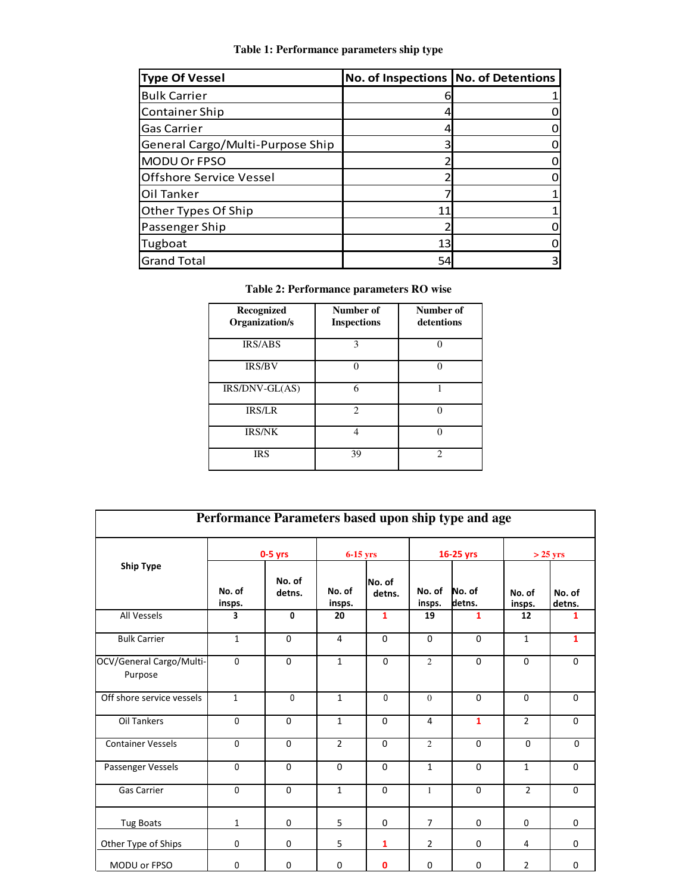### **Table 1: Performance parameters ship type**

| <b>Type Of Vessel</b>            | No. of Inspections No. of Detentions |   |
|----------------------------------|--------------------------------------|---|
| <b>Bulk Carrier</b>              |                                      |   |
| <b>Container Ship</b>            |                                      |   |
| Gas Carrier                      |                                      |   |
| General Cargo/Multi-Purpose Ship |                                      |   |
| MODU Or FPSO                     |                                      |   |
| <b>Offshore Service Vessel</b>   |                                      |   |
| Oil Tanker                       |                                      |   |
| Other Types Of Ship              | 11                                   |   |
| Passenger Ship                   |                                      |   |
| Tugboat                          | 13                                   |   |
| <b>Grand Total</b>               | 54                                   | 3 |

| Table 2: Performance parameters RO wise |  |
|-----------------------------------------|--|
|-----------------------------------------|--|

| Recognized<br>Organization/s | Number of<br><b>Inspections</b> | Number of<br>detentions |
|------------------------------|---------------------------------|-------------------------|
| <b>IRS/ABS</b>               | 3                               |                         |
| <b>IRS/BV</b>                | O                               |                         |
| $IRS/DNV-GL(AS)$             | 6                               |                         |
| <b>IRS/LR</b>                | $\mathfrak{D}$                  |                         |
| <b>IRS/NK</b>                | 4                               |                         |
| <b>IRS</b>                   | 39                              | っ                       |

| Performance Parameters based upon ship type and age |                  |                  |                  |                  |                  |                  |                  |                  |
|-----------------------------------------------------|------------------|------------------|------------------|------------------|------------------|------------------|------------------|------------------|
|                                                     | $0-5$ yrs        |                  | $6-15$ yrs       |                  | 16-25 yrs        |                  | $>$ 25 yrs       |                  |
| <b>Ship Type</b>                                    | No. of<br>insps. | No. of<br>detns. | No. of<br>insps. | No. of<br>detns. | No. of<br>insps. | No. of<br>detns. | No. of<br>insps. | No. of<br>detns. |
| All Vessels                                         | 3                | $\mathbf{0}$     | 20               | $\mathbf{1}$     | 19               | $\mathbf{1}$     | 12               | 1                |
| <b>Bulk Carrier</b>                                 | $\mathbf{1}$     | $\Omega$         | 4                | $\Omega$         | $\Omega$         | $\Omega$         | $\mathbf{1}$     | $\mathbf{1}$     |
| OCV/General Cargo/Multi-<br>Purpose                 | $\mathbf 0$      | 0                | $\mathbf{1}$     | $\Omega$         | $\overline{2}$   | $\mathbf 0$      | $\mathbf 0$      | $\mathbf 0$      |
| Off shore service vessels                           | $\mathbf{1}$     | $\Omega$         | $\mathbf{1}$     | $\mathbf{0}$     | $\Omega$         | $\Omega$         | $\Omega$         | $\Omega$         |
| <b>Oil Tankers</b>                                  | $\mathbf 0$      | 0                | $\mathbf{1}$     | $\Omega$         | 4                | $\mathbf{1}$     | $\overline{2}$   | $\mathbf 0$      |
| <b>Container Vessels</b>                            | $\Omega$         | $\Omega$         | $\overline{2}$   | $\Omega$         | $\overline{2}$   | $\Omega$         | $\Omega$         | $\Omega$         |
| Passenger Vessels                                   | $\mathbf{0}$     | $\Omega$         | $\Omega$         | $\Omega$         | $\mathbf{1}$     | $\mathbf 0$      | 1                | $\Omega$         |
| <b>Gas Carrier</b>                                  | $\mathbf{0}$     | $\Omega$         | $\mathbf{1}$     | $\Omega$         | $\mathbf{1}$     | $\Omega$         | $\overline{2}$   | $\Omega$         |
| <b>Tug Boats</b>                                    | 1                | $\mathbf 0$      | 5                | $\mathbf 0$      | $\overline{7}$   | $\mathbf 0$      | $\mathbf 0$      | 0                |
| Other Type of Ships                                 | $\mathbf 0$      | $\mathbf 0$      | 5                | $\mathbf{1}$     | $\overline{2}$   | $\mathbf 0$      | 4                | $\Omega$         |
| MODU or FPSO                                        | $\mathbf 0$      | $\mathbf 0$      | $\mathbf 0$      | $\mathbf 0$      | $\mathbf 0$      | $\mathbf 0$      | $\overline{2}$   | 0                |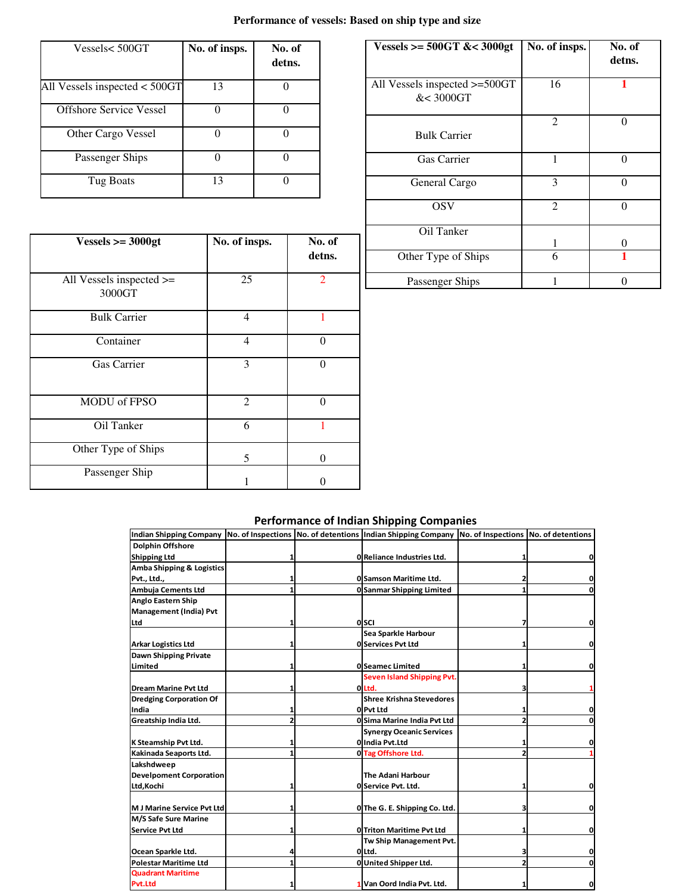# **Performance of vessels: Based on ship type and size**

| Vessels<500GT                   | No. of insps. | No. of<br>detns. |
|---------------------------------|---------------|------------------|
| All Vessels inspected $<$ 500GT | 13            |                  |
| Offshore Service Vessel         |               |                  |
| Other Cargo Vessel              |               |                  |
| Passenger Ships                 |               |                  |
| Tug Boats                       | 13            |                  |

| Vessels >= $500GT$ &< $3000gt$             | No. of insps.  | No. of<br>detns. |
|--------------------------------------------|----------------|------------------|
| All Vessels inspected >=500GT<br>&< 3000GT | 16             |                  |
| <b>Bulk Carrier</b>                        | $\overline{c}$ | 0                |
| Gas Carrier                                |                | 0                |
| General Cargo                              | 3              | 0                |
| <b>OSV</b>                                 | $\overline{c}$ | 0                |
| Oil Tanker                                 |                | 0                |
| Other Type of Ships                        | 6              |                  |
| Passenger Ships                            |                | 0                |

| $Vessels >= 3000gt$                     | No. of insps. | No. of<br>detns. |
|-----------------------------------------|---------------|------------------|
| All Vessels inspected $\ge$ =<br>3000GT | 25            | $\overline{2}$   |
| <b>Bulk Carrier</b>                     | 4             |                  |
| Container                               | 4             | 0                |
| Gas Carrier                             | 3             | $\Omega$         |
| MODU of FPSO                            | 2             | $\Omega$         |
| Oil Tanker                              | 6             |                  |
| Other Type of Ships                     | 5             | $\Omega$         |
| Passenger Ship                          |               |                  |

# **Performance of Indian Shipping Companies**

|                                   |  | Indian Shipping Company No. of Inspections No. of detentions Indian Shipping Company No. of Inspections No. of detentions |   |
|-----------------------------------|--|---------------------------------------------------------------------------------------------------------------------------|---|
| <b>Dolphin Offshore</b>           |  |                                                                                                                           |   |
| <b>Shipping Ltd</b>               |  | 0 Reliance Industries Ltd.                                                                                                |   |
| Amba Shipping & Logistics         |  |                                                                                                                           |   |
| Pvt., Ltd.,                       |  | <b>Ol Samson Maritime Ltd.</b>                                                                                            |   |
| <b>Ambuja Cements Ltd</b>         |  | <b>O Sanmar Shipping Limited</b>                                                                                          |   |
| <b>Anglo Eastern Ship</b>         |  |                                                                                                                           |   |
| Management (India) Pvt            |  |                                                                                                                           |   |
| Ltd                               |  | 0 SCI                                                                                                                     |   |
|                                   |  | Sea Sparkle Harbour                                                                                                       |   |
| <b>Arkar Logistics Ltd</b>        |  | <b>0 Services Pvt Ltd</b>                                                                                                 |   |
| Dawn Shipping Private             |  |                                                                                                                           |   |
| Limited                           |  | <b>O</b> Seamec Limited                                                                                                   |   |
|                                   |  | Seven Island Shipping Pvt.                                                                                                |   |
| <b>Dream Marine Pyt Ltd</b>       |  | olLtd.                                                                                                                    |   |
| <b>Dredging Corporation Of</b>    |  | <b>Shree Krishna Stevedores</b>                                                                                           |   |
| India                             |  | O Pvt Ltd                                                                                                                 |   |
| Greatship India Ltd.              |  | <b>O Sima Marine India Pvt Ltd</b>                                                                                        |   |
|                                   |  | <b>Synergy Oceanic Services</b>                                                                                           |   |
| K Steamship Pvt Ltd.              |  | O India Pvt.Ltd                                                                                                           |   |
| Kakinada Seaports Ltd.            |  | 0 Tag Offshore Ltd.                                                                                                       |   |
| Lakshdweep                        |  |                                                                                                                           |   |
| <b>Develpoment Corporation</b>    |  | <b>The Adani Harbour</b>                                                                                                  |   |
| Ltd, Kochi                        |  | <b>O Service Pvt. Ltd.</b>                                                                                                |   |
|                                   |  |                                                                                                                           |   |
| <b>M J Marine Service Pvt Ltd</b> |  | O The G. E. Shipping Co. Ltd.                                                                                             |   |
| M/S Safe Sure Marine              |  |                                                                                                                           |   |
| <b>Service Pvt Ltd</b>            |  | <b>0</b> Triton Maritime Pvt Ltd                                                                                          |   |
|                                   |  | Tw Ship Management Pvt.                                                                                                   |   |
| Ocean Sparkle Ltd.                |  | OlLtd.                                                                                                                    |   |
| <b>Polestar Maritime Ltd</b>      |  | <b>O</b> United Shipper Ltd.                                                                                              |   |
| <b>Quadrant Maritime</b>          |  |                                                                                                                           |   |
| Pvt.Ltd                           |  | 1 Van Oord India Pvt. Ltd.                                                                                                | 0 |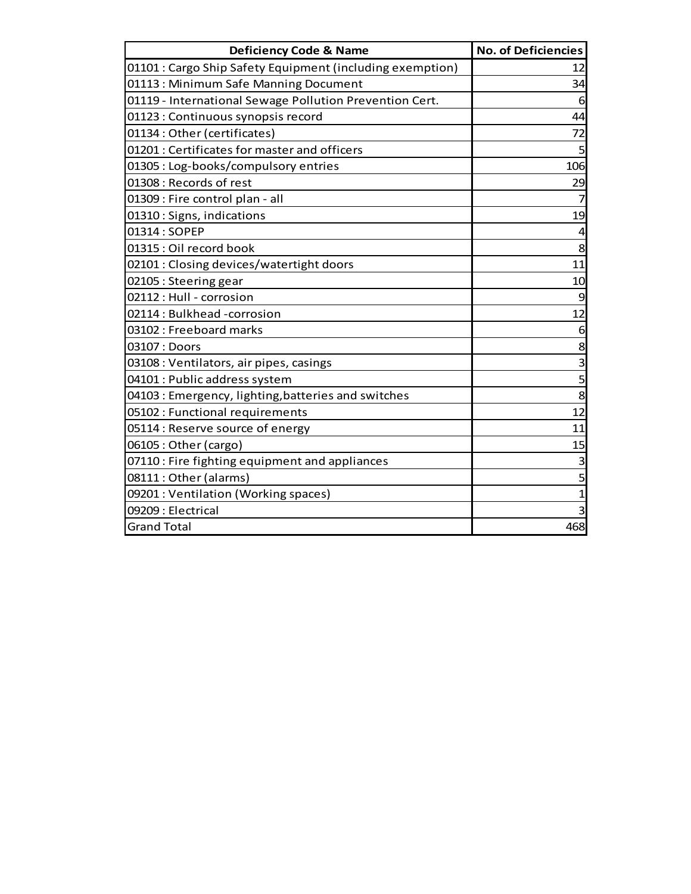| <b>Deficiency Code &amp; Name</b>                         | <b>No. of Deficiencies</b> |
|-----------------------------------------------------------|----------------------------|
| 01101 : Cargo Ship Safety Equipment (including exemption) | 12                         |
| 01113: Minimum Safe Manning Document                      | 34                         |
| 01119 - International Sewage Pollution Prevention Cert.   | 6                          |
| 01123 : Continuous synopsis record                        | 44                         |
| 01134: Other (certificates)                               | 72                         |
| 01201: Certificates for master and officers               | 5                          |
| 01305 : Log-books/compulsory entries                      | 106                        |
| 01308 : Records of rest                                   | 29                         |
| 01309 : Fire control plan - all                           |                            |
| 01310: Signs, indications                                 | 19                         |
| 01314: SOPEP                                              | 4                          |
| 01315 : Oil record book                                   | 8                          |
| 02101 : Closing devices/watertight doors                  | 11                         |
| 02105 : Steering gear                                     | 10                         |
| 02112 : Hull - corrosion                                  | 9                          |
| 02114: Bulkhead -corrosion                                | 12                         |
| 03102 : Freeboard marks                                   | 6                          |
| 03107 : Doors                                             | 8                          |
| 03108 : Ventilators, air pipes, casings                   | 3                          |
| 04101 : Public address system                             | 5                          |
| 04103 : Emergency, lighting, batteries and switches       | 8                          |
| 05102 : Functional requirements                           | 12                         |
| 05114 : Reserve source of energy                          | 11                         |
| 06105: Other (cargo)                                      | 15                         |
| 07110 : Fire fighting equipment and appliances            | 3                          |
| 08111: Other (alarms)                                     | 5                          |
| 09201 : Ventilation (Working spaces)                      | 1                          |
| 09209 : Electrical                                        | 3                          |
| <b>Grand Total</b>                                        | 468                        |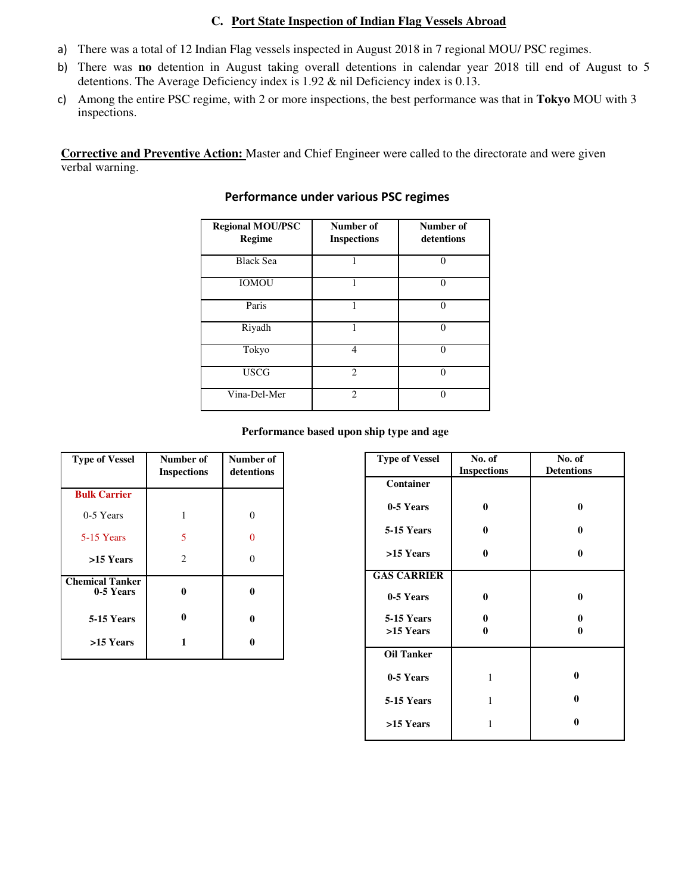#### **C. Port State Inspection of Indian Flag Vessels Abroad**

- a) There was a total of 12 Indian Flag vessels inspected in August 2018 in 7 regional MOU/ PSC regimes.
- b) There was **no** detention in August taking overall detentions in calendar year 2018 till end of August to 5 detentions. The Average Deficiency index is 1.92 & nil Deficiency index is 0.13.
- c) Among the entire PSC regime, with 2 or more inspections, the best performance was that in **Tokyo** MOU with 3 inspections.

**Corrective and Preventive Action:** Master and Chief Engineer were called to the directorate and were given verbal warning.

| <b>Regional MOU/PSC</b><br><b>Regime</b> | Number of<br><b>Inspections</b> | Number of<br>detentions |
|------------------------------------------|---------------------------------|-------------------------|
| <b>Black Sea</b>                         |                                 | $\Omega$                |
| <b>IOMOU</b>                             |                                 | ∩                       |
| Paris                                    |                                 | $\Omega$                |
| Riyadh                                   |                                 | $\Omega$                |
| Tokyo                                    | 4                               | $\Omega$                |
| <b>USCG</b>                              | $\mathfrak{D}$                  | U                       |
| Vina-Del-Mer                             | $\mathfrak{D}$                  | O                       |

### **Performance under various PSC regimes**

#### **Performance based upon ship type and age**

| <b>Type of Vessel</b>               | Number of<br><b>Inspections</b> | Number of<br>detentions |
|-------------------------------------|---------------------------------|-------------------------|
| <b>Bulk Carrier</b>                 |                                 |                         |
| 0-5 Years                           | 1                               | 0                       |
| 5-15 Years                          | 5                               |                         |
| >15 Years                           | $\mathcal{D}_{\mathcal{L}}$     |                         |
| <b>Chemical Tanker</b><br>0-5 Years | 0                               | 0                       |
| 5-15 Years                          | 0                               | 0                       |
| >15 Years                           |                                 |                         |

| <b>Type of Vessel</b> | No. of             | No. of            |
|-----------------------|--------------------|-------------------|
|                       | <b>Inspections</b> | <b>Detentions</b> |
| <b>Container</b>      |                    |                   |
| 0-5 Years             | $\bf{0}$           | $\bf{0}$          |
| 5-15 Years            | 0                  | $\bf{0}$          |
| >15 Years             | $\bf{0}$           | $\bf{0}$          |
| <b>GAS CARRIER</b>    |                    |                   |
| 0-5 Years             | $\bf{0}$           | $\bf{0}$          |
| <b>5-15 Years</b>     | 0                  | 0                 |
| >15 Years             | 0                  | 0                 |
|                       |                    |                   |
| <b>Oil Tanker</b>     |                    |                   |
| 0-5 Years             | 1                  | $\bf{0}$          |
| 5-15 Years            | 1                  | $\bf{0}$          |
| >15 Years             | 1                  | 0                 |